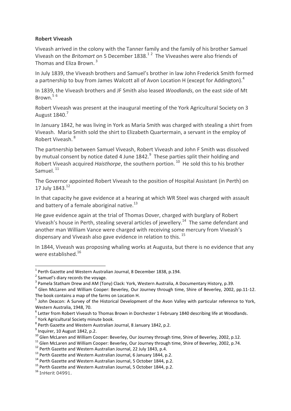## **Robert Viveash**

Viveash arrived in the colony with the Tanner family and the family of his brother Samuel Viveash on the *Britomart* on 5 December 1838.<sup>12</sup> The Viveashes were also friends of Thomas and Eliza Brown. <sup>3</sup>

In July 1839, the Viveash brothers and Samuel's brother in law John Frederick Smith formed a partnership to buy from James Walcott all of Avon Location H (except for Addington).<sup>4</sup>

In 1839, the Viveash brothers and JF Smith also leased *Woodlands*, on the east side of Mt Brown. 5 6

Robert Viveash was present at the inaugural meeting of the York Agricultural Society on 3 August 1840.<sup>7</sup>

In January 1842, he was living in York as Maria Smith was charged with stealing a shirt from Viveash. Maria Smith sold the shirt to Elizabeth Quartermain, a servant in the employ of Robert Viveash. <sup>8</sup>

The partnership between Samuel Viveash, Robert Viveash and John F Smith was dissolved by mutual consent by notice dated 4 June 1842.<sup>9</sup> These parties split their holding and Robert Viveash acquired *Haisthorpe*, the southern portion.<sup>10</sup> He sold this to his brother Samuel.<sup>11</sup>

The Governor appointed Robert Viveash to the position of Hospital Assistant (in Perth) on 17 July 1843.<sup>12</sup>

In that capacity he gave evidence at a hearing at which WR Steel was charged with assault and battery of a female aboriginal native. $^{13}$ 

He gave evidence again at the trial of Thomas Dover, charged with burglary of Robert Viveash's house in Perth, stealing several articles of jewellery.<sup>14</sup> The same defendant and another man William Vance were charged with receiving some mercury from Viveash's dispensary and Viveash also gave evidence in relation to this.  $^{15}$ 

In 1844, Viveash was proposing whaling works at Augusta, but there is no evidence that any were established.<sup>16</sup>

1

 $<sup>1</sup>$  Perth Gazette and Western Australian Journal, 8 December 1838, p.194.</sup>

 $2$  Samuel's diary records the voyage.

<sup>&</sup>lt;sup>3</sup> Pamela Statham Drew and AM (Tony) Clack: York, Western Australia, A Documentary History, p.39.

<sup>&</sup>lt;sup>4</sup> Glen McLaren and William Cooper: Beverley, Our Journey through time, Shire of Beverley, 2002, pp.11-12. The book contains a map of the farms on Location H.

<sup>&</sup>lt;sup>5</sup> John Deacon: A Survey of the Historical Development of the Avon Valley with particular reference to York, Western Australia, 1948, 70.

<sup>&</sup>lt;sup>6</sup> Letter from Robert Viveash to Thomas Brown in Dorchester 1 February 1840 describing life at Woodlands.

<sup>&</sup>lt;sup>7</sup> York Agricultural Society minute book.

<sup>&</sup>lt;sup>8</sup> Perth Gazette and Western Australian Journal, 8 January 1842, p.2.

 $<sup>9</sup>$  Inquirer, 10 August 1842, p.2.</sup>

<sup>&</sup>lt;sup>10</sup> Glen McLaren and William Cooper: Beverley, Our Journey through time, Shire of Beverley, 2002, p.12.

 $11$  Glen McLaren and William Cooper: Beverley, Our Journey through time, Shire of Beverley, 2002, p.74.

 $12$  Perth Gazette and Western Australian Journal, 22 July 1843, p.4.

<sup>&</sup>lt;sup>13</sup> Perth Gazette and Western Australian Journal, 6 January 1844, p.2.

<sup>&</sup>lt;sup>14</sup> Perth Gazette and Western Australian Journal, 5 October 1844, p.2.

<sup>&</sup>lt;sup>15</sup> Perth Gazette and Western Australian Journal, 5 October 1844, p.2.

<sup>&</sup>lt;sup>16</sup> InHerit 04991.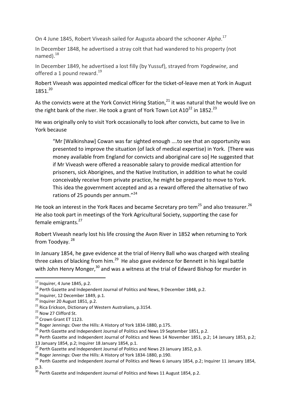On 4 June 1845, Robert Viveash sailed for Augusta aboard the schooner *Alpha*. 17

In December 1848, he advertised a stray colt that had wandered to his property (not named $1.18$ 

In December 1849, he advertised a lost filly (by Yussuf), strayed from *Yogdewine*, and offered a 1 pound reward.<sup>19</sup>

Robert Viveash was appointed medical officer for the ticket-of-leave men at York in August 1851.<sup>20</sup>

As the convicts were at the York Convict Hiring Station, $^{21}$  it was natural that he would live on the right bank of the river. He took a grant of York Town Lot A10<sup>22</sup> in 1852.<sup>23</sup>

He was originally only to visit York occasionally to look after convicts, but came to live in York because

"Mr [Walkinshaw] Cowan was far sighted enough ….to see that an opportunity was presented to improve the situation (of lack of medical expertise) in York. [There was money available from England for convicts and aboriginal care so] He suggested that if Mr Viveash were offered a reasonable salary to provide medical attention for prisoners, sick Aborigines, and the Native Institution, in addition to what he could conceivably receive from private practice, he might be prepared to move to York. This idea the government accepted and as a reward offered the alternative of two rations of 25 pounds per annum."<sup>24</sup>

He took an interest in the York Races and became Secretary pro tem<sup>25</sup> and also treasurer.<sup>26</sup> He also took part in meetings of the York Agricultural Society, supporting the case for female emigrants.<sup>27</sup>

Robert Viveash nearly lost his life crossing the Avon River in 1852 when returning to York from Toodyay.<sup>28</sup>

In January 1854, he gave evidence at the trial of Henry Ball who was charged with stealing three cakes of blacking from him. $^{29}$  He also gave evidence for Bennett in his legal battle with John Henry Monger,<sup>30</sup> and was a witness at the trial of Edward Bishop for murder in

1

 $17$  Inquirer, 4 June 1845, p.2.

<sup>&</sup>lt;sup>18</sup> Perth Gazette and Independent Journal of Politics and News, 9 December 1848, p.2.

 $19$  Inquirer, 12 December 1849, p.1.

 $20$  Inquirer 20 August 1851, p.2.

 $21$  Rica Erickson, Dictionary of Western Australians, p.3154.

<sup>&</sup>lt;sup>22</sup> Now 27 Clifford St.

<sup>&</sup>lt;sup>23</sup> Crown Grant ET 1123.

<sup>&</sup>lt;sup>24</sup> Roger Jennings: Over the Hills: A History of York 1834-1880, p.175.

<sup>&</sup>lt;sup>25</sup> Perth Gazette and Independent Journal of Politics and News 19 September 1851, p.2.

<sup>&</sup>lt;sup>26</sup> Perth Gazette and Independent Journal of Politics and News 14 November 1851, p.2; 14 January 1853, p.2; 13 January 1854, p.2; Inquirer 18 January 1854, p.1.

 $27$  Perth Gazette and Independent Journal of Politics and News 23 January 1852, p.3.

<sup>&</sup>lt;sup>28</sup> Roger Jennings: Over the Hills: A History of York 1834-1880, p.190.

<sup>&</sup>lt;sup>29</sup> Perth Gazette and Independent Journal of Politics and News 6 January 1854, p.2; Inquirer 11 January 1854, p.3.

 $\frac{30}{30}$  Perth Gazette and Independent Journal of Politics and News 11 August 1854, p.2.